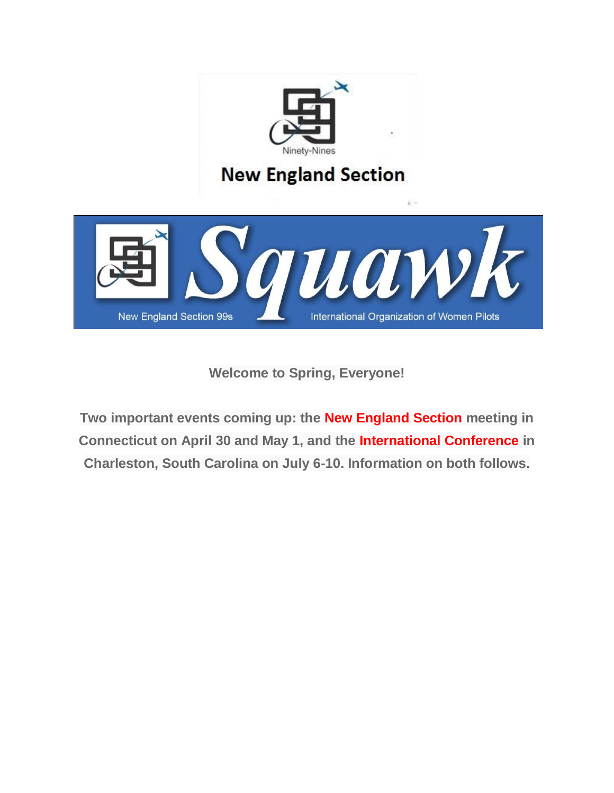

**Welcome to Spring, Everyone!**

**Two important events coming up: the New England Section meeting in Connecticut on April 30 and May 1, and the International Conference in Charleston, South Carolina on July 6-10. Information on both follows.**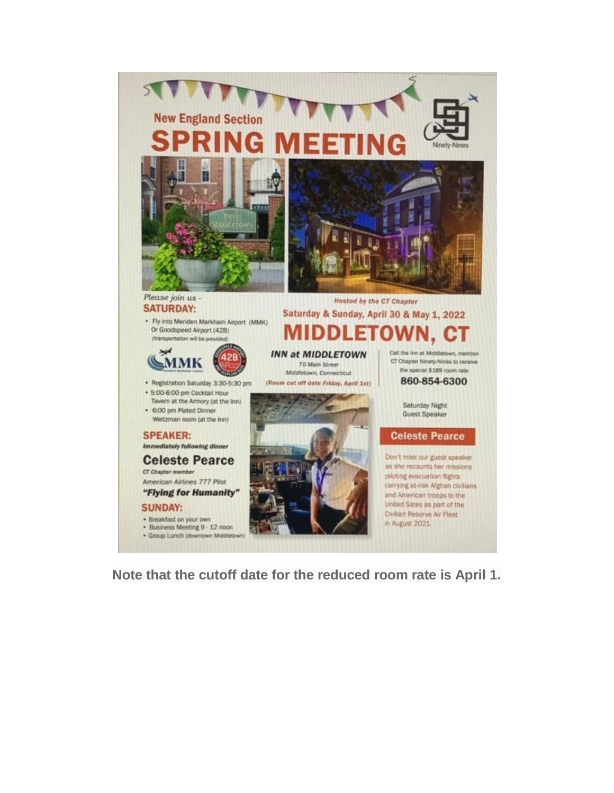

**Note that the cutoff date for the reduced room rate is April 1.**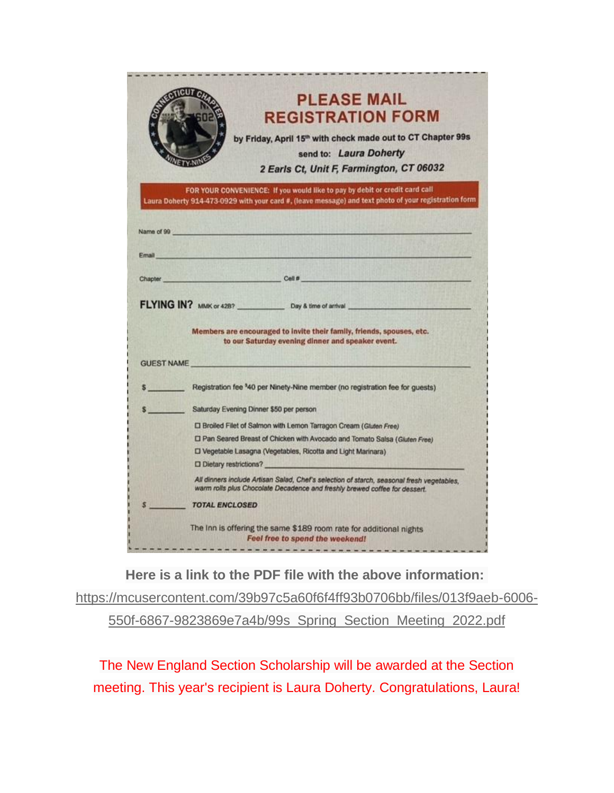|       | <b>PLEASE MAIL</b><br><b>REGISTRATION FORM</b>                                                                                                                                       |
|-------|--------------------------------------------------------------------------------------------------------------------------------------------------------------------------------------|
|       | by Friday, April 15 <sup>th</sup> with check made out to CT Chapter 99s<br>send to: Laura Doherty<br>2 Earls Ct, Unit F, Farmington, CT 06032                                        |
|       | FOR YOUR CONVENIENCE: If you would like to pay by debit or credit card call<br>Laura Doherty 914-473-0929 with your card #, (leave message) and text photo of your registration form |
|       | Name of 99 and the contract of the contract of the contract of the contract of the contract of the contract of                                                                       |
| Email |                                                                                                                                                                                      |
|       |                                                                                                                                                                                      |
|       | Chapter Chapter Cell # Cell # 2009<br>FLYING IN? MMK or 428? Day & time of arrival                                                                                                   |
|       | Members are encouraged to invite their family, friends, spouses, etc.<br>to our Saturday evening dinner and speaker event.<br><b>GUEST NAME</b>                                      |
|       | \$ Registration fee 340 per Ninety-Nine member (no registration fee for guests)                                                                                                      |
|       | \$ Saturday Evening Dinner \$50 per person                                                                                                                                           |
|       | [ Broiled Filet of Salmon with Lemon Tarragon Cream (Gluten Free)                                                                                                                    |
|       | [] Pan Seared Breast of Chicken with Avocado and Tomato Salsa (Gluten Free)                                                                                                          |
|       | D Vegetable Lasagna (Vegetables, Ricotta and Light Marinara)                                                                                                                         |
|       | D Dietary restrictions?                                                                                                                                                              |
|       | All dinners include Artisan Salad, Chef's selection of starch, seasonal fresh vegetables,<br>warm rolls plus Chocolate Decadence and freshly brewed coffee for dessert.              |
|       | <b>TOTAL ENCLOSED</b>                                                                                                                                                                |

**Here is a link to the PDF file with the above information:** [https://mcusercontent.com/39b97c5a60f6f4ff93b0706bb/files/013f9aeb-6006-](https://yahoo.us20.list-manage.com/track/click?u=39b97c5a60f6f4ff93b0706bb&id=704a74307a&e=926d3773d1) [550f-6867-9823869e7a4b/99s\\_Spring\\_Section\\_Meeting\\_2022.pdf](https://yahoo.us20.list-manage.com/track/click?u=39b97c5a60f6f4ff93b0706bb&id=704a74307a&e=926d3773d1)

The New England Section Scholarship will be awarded at the Section meeting. This year's recipient is Laura Doherty. Congratulations, Laura!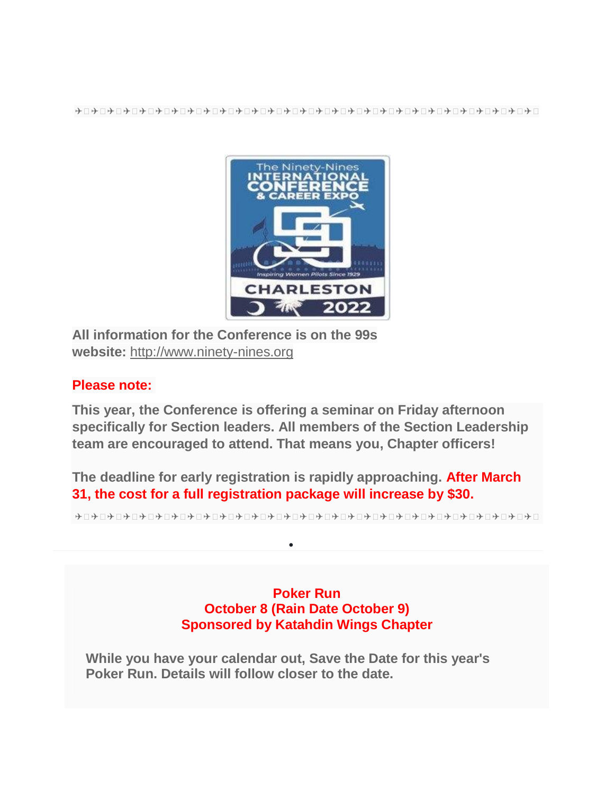

**All information for the Conference is on the 99s website:** [http://www.ninety-nines.org](https://yahoo.us20.list-manage.com/track/click?u=39b97c5a60f6f4ff93b0706bb&id=a942f82272&e=926d3773d1)

## **Please note:**

**This year, the Conference is offering a seminar on Friday afternoon specifically for Section leaders. All members of the Section Leadership team are encouraged to attend. That means you, Chapter officers!**

**The deadline for early registration is rapidly approaching. After March 31, the cost for a full registration package will increase by \$30.**

 $\bullet$ 

✈ ✈ ✈ ✈ ✈ ✈ ✈ ✈ ✈ ✈ ✈ ✈ ✈ ✈ ✈ ✈ ✈ ✈ ✈ ✈ ✈ ✈ ✈ ✈ ✈ ✈ ✈ ✈ ✈

## **Poker Run October 8 (Rain Date October 9) Sponsored by Katahdin Wings Chapter**

**While you have your calendar out, Save the Date for this year's Poker Run. Details will follow closer to the date.**